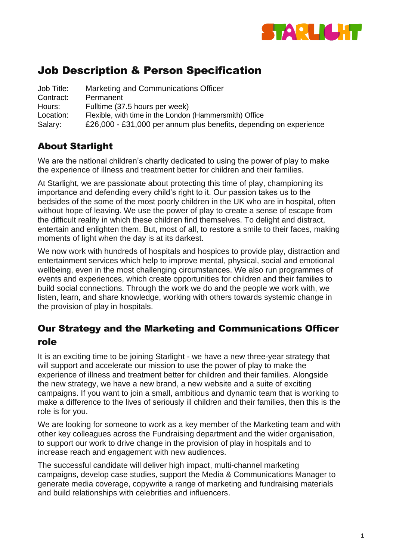

# Job Description & Person Specification

| Job Title: | Marketing and Communications Officer                               |
|------------|--------------------------------------------------------------------|
| Contract:  | Permanent                                                          |
| Hours:     | Fulltime (37.5 hours per week)                                     |
| Location:  | Flexible, with time in the London (Hammersmith) Office             |
| Salary:    | £26,000 - £31,000 per annum plus benefits, depending on experience |

## About Starlight

We are the national children's charity dedicated to using the power of play to make the experience of illness and treatment better for children and their families.

At Starlight, we are passionate about protecting this time of play, championing its importance and defending every child's right to it. Our passion takes us to the bedsides of the some of the most poorly children in the UK who are in hospital, often without hope of leaving. We use the power of play to create a sense of escape from the difficult reality in which these children find themselves. To delight and distract, entertain and enlighten them. But, most of all, to restore a smile to their faces, making moments of light when the day is at its darkest.

We now work with hundreds of hospitals and hospices to provide play, distraction and entertainment services which help to improve mental, physical, social and emotional wellbeing, even in the most challenging circumstances. We also run programmes of events and experiences, which create opportunities for children and their families to build social connections. Through the work we do and the people we work with, we listen, learn, and share knowledge, working with others towards systemic change in the provision of play in hospitals.

### Our Strategy and the Marketing and Communications Officer role

It is an exciting time to be joining Starlight - we have a new three-year strategy that will support and accelerate our mission to use the power of play to make the experience of illness and treatment better for children and their families. Alongside the new strategy, we have a new brand, a new website and a suite of exciting campaigns. If you want to join a small, ambitious and dynamic team that is working to make a difference to the lives of seriously ill children and their families, then this is the role is for you.

We are looking for someone to work as a key member of the Marketing team and with other key colleagues across the Fundraising department and the wider organisation, to support our work to drive change in the provision of play in hospitals and to increase reach and engagement with new audiences.

The successful candidate will deliver high impact, multi-channel marketing campaigns, develop case studies, support the Media & Communications Manager to generate media coverage, copywrite a range of marketing and fundraising materials and build relationships with celebrities and influencers.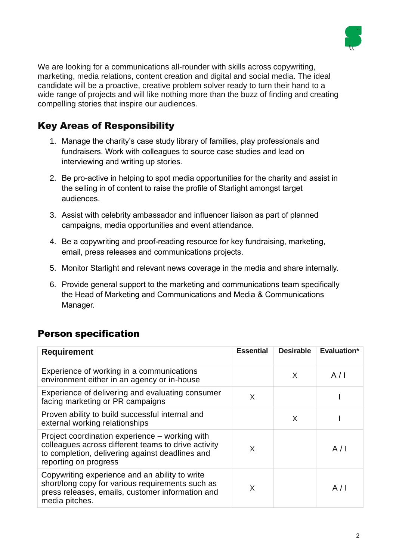

We are looking for a communications all-rounder with skills across copywriting, marketing, media relations, content creation and digital and social media. The ideal candidate will be a proactive, creative problem solver ready to turn their hand to a wide range of projects and will like nothing more than the buzz of finding and creating compelling stories that inspire our audiences.

## Key Areas of Responsibility

- 1. Manage the charity's case study library of families, play professionals and fundraisers. Work with colleagues to source case studies and lead on interviewing and writing up stories.
- 2. Be pro-active in helping to spot media opportunities for the charity and assist in the selling in of content to raise the profile of Starlight amongst target audiences.
- 3. Assist with celebrity ambassador and influencer liaison as part of planned campaigns, media opportunities and event attendance.
- 4. Be a copywriting and proof-reading resource for key fundraising, marketing, email, press releases and communications projects.
- 5. Monitor Starlight and relevant news coverage in the media and share internally.
- 6. Provide general support to the marketing and communications team specifically the Head of Marketing and Communications and Media & Communications Manager.

#### Person specification

| <b>Requirement</b>                                                                                                                                                                | <b>Essential</b> | <b>Desirable</b> | Evaluation* |
|-----------------------------------------------------------------------------------------------------------------------------------------------------------------------------------|------------------|------------------|-------------|
| Experience of working in a communications<br>environment either in an agency or in-house                                                                                          |                  | X                | A/I         |
| Experience of delivering and evaluating consumer<br>facing marketing or PR campaigns                                                                                              | X                |                  |             |
| Proven ability to build successful internal and<br>external working relationships                                                                                                 |                  | X                |             |
| Project coordination experience – working with<br>colleagues across different teams to drive activity<br>to completion, delivering against deadlines and<br>reporting on progress | X                |                  | A/I         |
| Copywriting experience and an ability to write<br>short/long copy for various requirements such as<br>press releases, emails, customer information and<br>media pitches.          | X                |                  | A/I         |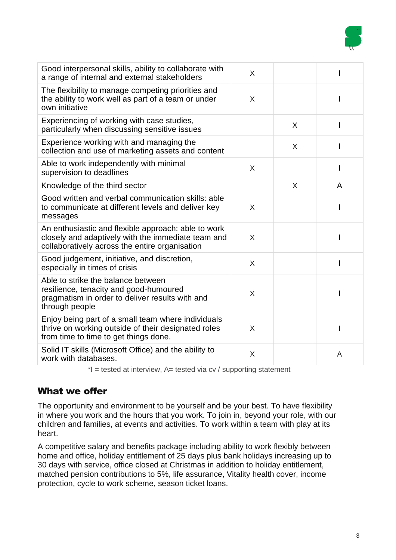

| Good interpersonal skills, ability to collaborate with<br>a range of internal and external stakeholders                                                     | X |   |   |
|-------------------------------------------------------------------------------------------------------------------------------------------------------------|---|---|---|
| The flexibility to manage competing priorities and<br>the ability to work well as part of a team or under<br>own initiative                                 | X |   |   |
| Experiencing of working with case studies,<br>particularly when discussing sensitive issues                                                                 |   | X |   |
| Experience working with and managing the<br>collection and use of marketing assets and content                                                              |   | X |   |
| Able to work independently with minimal<br>supervision to deadlines                                                                                         | X |   |   |
| Knowledge of the third sector                                                                                                                               |   | X | A |
| Good written and verbal communication skills: able<br>to communicate at different levels and deliver key<br>messages                                        | X |   |   |
| An enthusiastic and flexible approach: able to work<br>closely and adaptively with the immediate team and<br>collaboratively across the entire organisation | X |   |   |
| Good judgement, initiative, and discretion,<br>especially in times of crisis                                                                                | X |   |   |
| Able to strike the balance between<br>resilience, tenacity and good-humoured<br>pragmatism in order to deliver results with and<br>through people           | X |   |   |
| Enjoy being part of a small team where individuals<br>thrive on working outside of their designated roles<br>from time to time to get things done.          | X |   |   |
| Solid IT skills (Microsoft Office) and the ability to<br>work with databases.                                                                               | X |   | A |

 $*I$  = tested at interview, A= tested via cv / supporting statement

#### What we offer

The opportunity and environment to be yourself and be your best. To have flexibility in where you work and the hours that you work. To join in, beyond your role, with our children and families, at events and activities. To work within a team with play at its heart.

A competitive salary and benefits package including ability to work flexibly between home and office, holiday entitlement of 25 days plus bank holidays increasing up to 30 days with service, office closed at Christmas in addition to holiday entitlement, matched pension contributions to 5%, life assurance, Vitality health cover, income protection, cycle to work scheme, season ticket loans.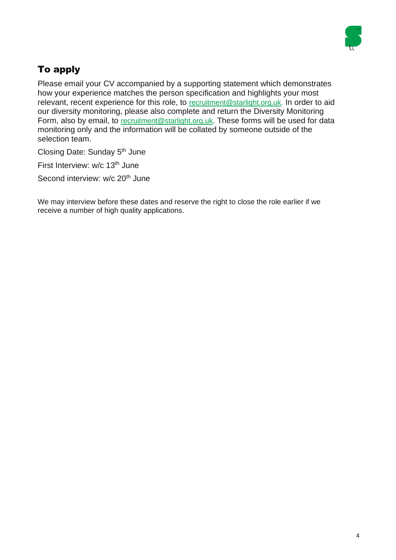

## To apply

Please email your CV accompanied by a supporting statement which demonstrates how your experience matches the person specification and highlights your most relevant, recent experience for this role, to [recruitment@starlight.org.uk.](mailto:recruitment@starlight.org.uk) In order to aid our diversity monitoring, please also complete and return the Diversity Monitoring Form, also by email, to [recruitment@starlight.org.uk.](mailto:recruitment@starlight.org.uk) These forms will be used for data monitoring only and the information will be collated by someone outside of the selection team.

Closing Date: Sunday 5th June

First Interview: w/c 13<sup>th</sup> June

Second interview: w/c 20<sup>th</sup> June

We may interview before these dates and reserve the right to close the role earlier if we receive a number of high quality applications.